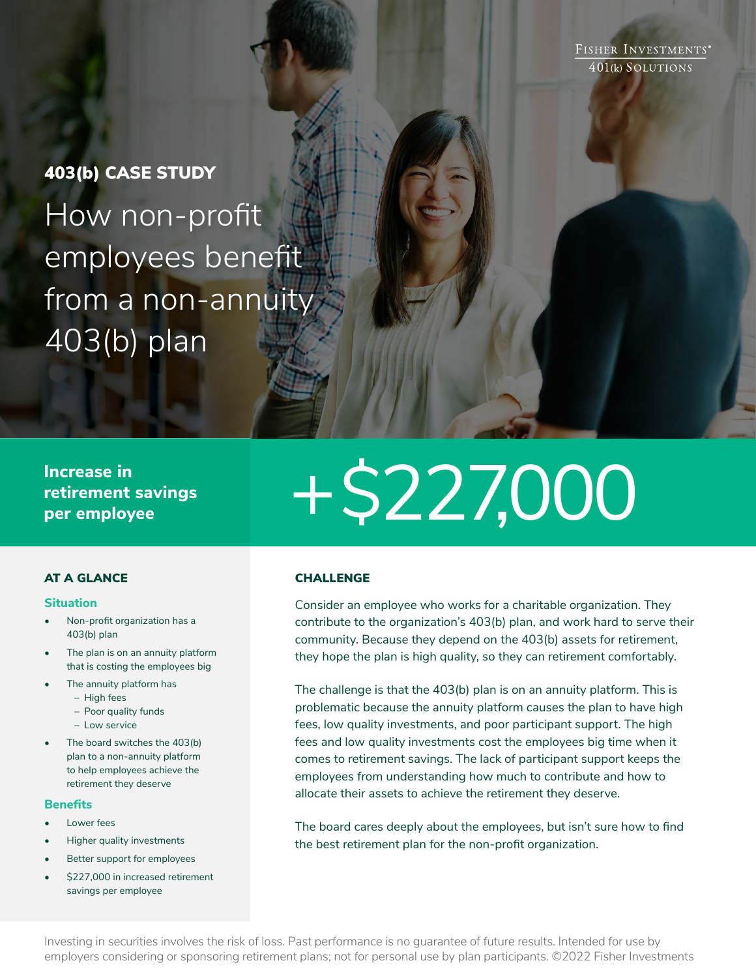FISHER INVESTMENTS® 401(k) SOLUTIONS

# 403(b) CASE STUDY

How non-profit employees benefit from a non-annuity 403(b) plan

**Increase in retirement savings per employee**

# +\$227,000

#### AT A GLANCE

#### **Situation**

- Non-profit organization has a 403(b) plan
- The plan is on an annuity platform that is costing the employees big
- The annuity platform has
	- High fees
	- Poor quality funds
	- Low service
- The board switches the 403(b) plan to a non-annuity platform to help employees achieve the retirement they deserve

#### **Benefits**

- **Lower fees**
- Higher quality investments
- Better support for employees
- \$227,000 in increased retirement savings per employee

# **CHALLENGE**

Consider an employee who works for a charitable organization. They contribute to the organization's 403(b) plan, and work hard to serve their community. Because they depend on the 403(b) assets for retirement, they hope the plan is high quality, so they can retirement comfortably.

The challenge is that the 403(b) plan is on an annuity platform. This is problematic because the annuity platform causes the plan to have high fees, low quality investments, and poor participant support. The high fees and low quality investments cost the employees big time when it comes to retirement savings. The lack of participant support keeps the employees from understanding how much to contribute and how to allocate their assets to achieve the retirement they deserve.

The board cares deeply about the employees, but isn't sure how to find the best retirement plan for the non-profit organization.

Investing in securities involves the risk of loss. Past performance is no guarantee of future results. Intended for use by employers considering or sponsoring retirement plans; not for personal use by plan participants. ©2022 Fisher Investments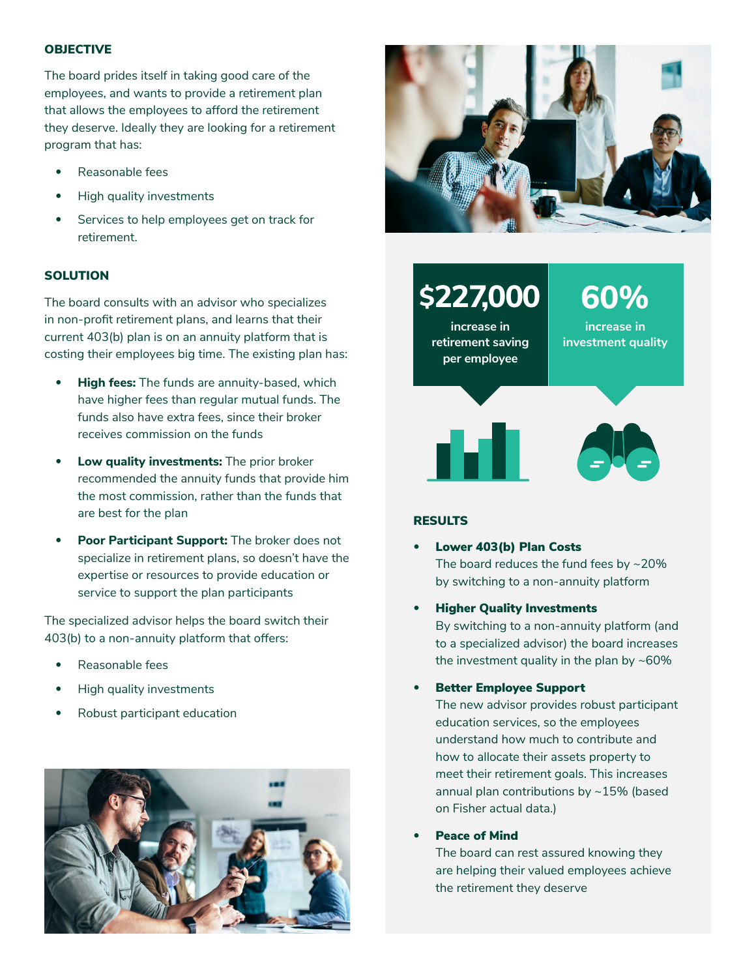#### **OBJECTIVE**

The board prides itself in taking good care of the employees, and wants to provide a retirement plan that allows the employees to afford the retirement they deserve. Ideally they are looking for a retirement program that has:

- Reasonable fees
- High quality investments
- Services to help employees get on track for retirement.

#### **SOLUTION**

The board consults with an advisor who specializes in non-profit retirement plans, and learns that their current 403(b) plan is on an annuity platform that is costing their employees big time. The existing plan has:

- **High fees:** The funds are annuity-based, which have higher fees than regular mutual funds. The funds also have extra fees, since their broker receives commission on the funds
- **Low quality investments:** The prior broker recommended the annuity funds that provide him the most commission, rather than the funds that are best for the plan
- **Poor Participant Support:** The broker does not specialize in retirement plans, so doesn't have the expertise or resources to provide education or service to support the plan participants

The specialized advisor helps the board switch their 403(b) to a non-annuity platform that offers:

- Reasonable fees
- High quality investments
- Robust participant education





**\$227,000**

**increase in retirement saving per employee**

**increase in 60%**

**investment quality** 



# RESULTS

- Lower 403(b) Plan Costs The board reduces the fund fees by ~20% by switching to a non-annuity platform
- Higher Quality Investments By switching to a non-annuity platform (and to a specialized advisor) the board increases the investment quality in the plan by ~60%

#### • Better Employee Support

The new advisor provides robust participant education services, so the employees understand how much to contribute and how to allocate their assets property to meet their retirement goals. This increases annual plan contributions by ~15% (based on Fisher actual data.)

### Peace of Mind

The board can rest assured knowing they are helping their valued employees achieve the retirement they deserve